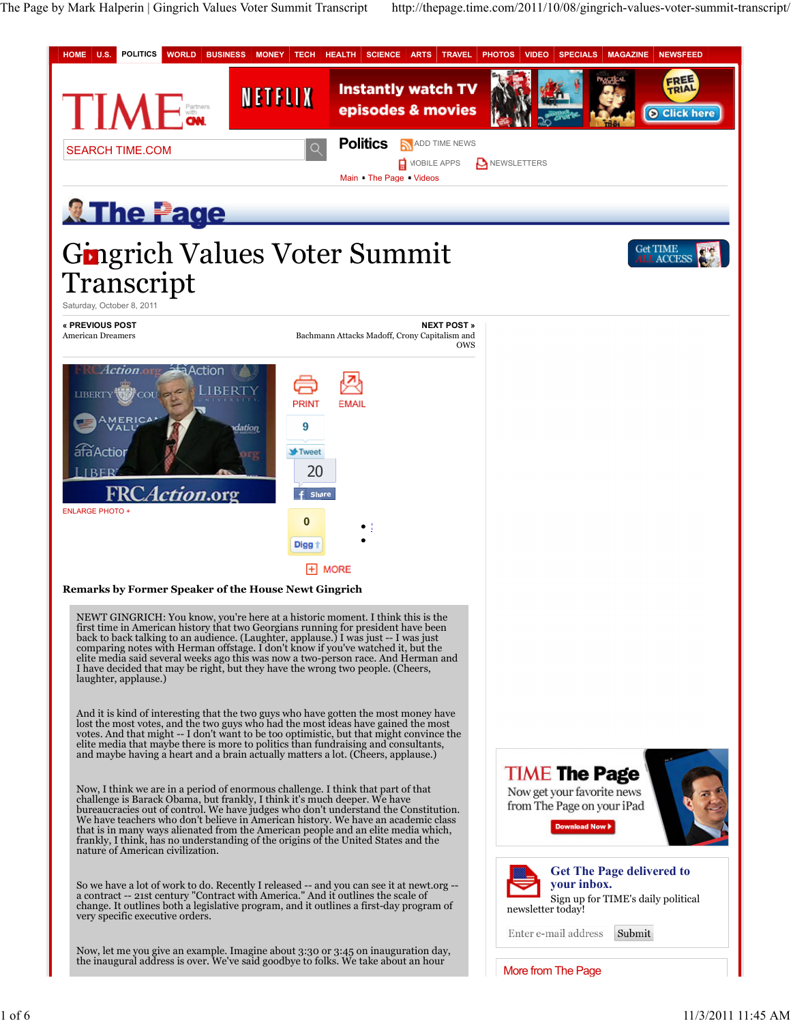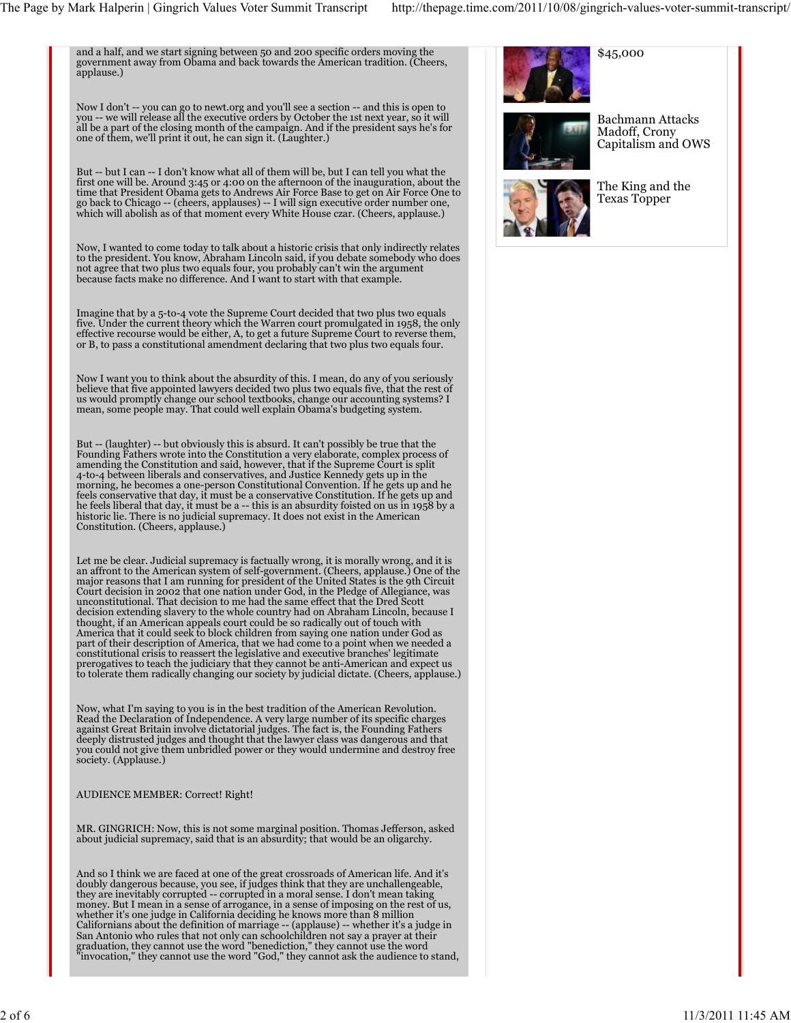and a half, and we start signing between 50 and 200 specific orders moving the government away from Obama and back towards the American tradition. (Cheers, applause.)

Now I don't -- you can go to newt.org and you'll see a section -- and this is open to<br>you -- we will release all the executive orders by October the 1st next year, so it will<br>all be a part of the closing month of the campa one of them, we'll print it out, he can sign it. (Laughter.)

But -- but I can -- I don't know what all of them will be, but I can tell you what the first one will be. Around 3:45 or 4:00 on the afternoon of the inauguration, about the time that President Obama gets to Andrews Air Force Base to get on Air Force One to go back to Chicago -- (cheers, applauses) -- I will sign executive order number one, which will abolish as of that moment every White House czar. (Cheers, applause.)

Now, I wanted to come today to talk about a historic crisis that only indirectly relates<br>to the president. You know, Abraham Lincoln said, if you debate somebody who does<br>not agree that two plus two equals four, you probab because facts make no difference. And I want to start with that example.

Imagine that by a 5-to-4 vote the Supreme Court decided that two plus two equals<br>five. Under the current theory which the Warren court promulgated in 1958, the only<br>effective recourse would be either, A, to get a future Su or B, to pass a constitutional amendment declaring that two plus two equals four.

Now I want you to think about the absurdity of this. I mean, do any of you seriously<br>believe that five appointed lawyers decided two plus two equals five, that the rest of<br>us would promptly change our school textbooks, cha mean, some people may. That could well explain Obama's budgeting system.

But -- (laughter) -- but obviously this is absurd. It can't possibly be true that the<br>Founding Fathers wrote into the Constitution a very elaborate, complex process of<br>amending the Constitution and said, however, that if t morning, he becomes a one-person Constitutional Convention. If he gets up and he<br>feels conservative that day, it must be a conservative Constitution. If he gets up and<br>he feels liberal that day, it must be a -- this is an historic lie. There is no judicial supremacy. It does not exist in the American Constitution. (Cheers, applause.)

Let me be clear. Judicial supremacy is factually wrong, it is morally wrong, and it is an affront to the American system of self-government. (Cheers, applause.) One of the major reasons that I am running for president of the United States is the 9th Circuit Court decision in 2002 that one nation under God, in the Pledge of Allegiance, was unconstitutional. That decision to me had the same effect that the Dred Scott decision extending slavery to the whole country had on Abraham Lincoln, because I thought, if an American appeals court could be so radically out of touch with America that it could seek to block children from saying one nation under God as part of their description of America, that we had come to a point when we needed a constitutional crisis to reassert the legislative and executive branches' legitimate prerogatives to teach the judiciary that they cannot be anti-American and expect us to tolerate them radically changing our society by judicial dictate. (Cheers, applause.)

Now, what I'm saying to you is in the best tradition of the American Revolution. Read the Declaration of Independence. A very large number of its specific charges against Great Britain involve dictatorial judges. The fact is, the Founding Fathers deeply distrusted judges and thought that the lawyer class was dangerous and that you could not give them unbridled power or they would undermine and destroy free society. (Applause.)

## AUDIENCE MEMBER: Correct! Right!

MR. GINGRICH: Now, this is not some marginal position. Thomas Jefferson, asked about judicial supremacy, said that is an absurdity; that would be an oligarchy.

And so I think we are faced at one of the great crossroads of American life. And it's<br>doubly dangerous because, you see, if judges think that they are unchallengeable,<br>they are inevitably corrupted -- corrupted in a moral money. But I mean in a sense of arrogance, in a sense of imposing on the rest of us,<br>whether it's one judge in California deciding he knows more than 8 million<br>Californians about the definition of marriage -- (applause) --San Antonio who rules that not only can schoolchildren not say a prayer at their<br>graduation, they cannot use the word "benediction," they cannot use the word<br>"invocation," they cannot use the word "God," they cannot ask th





Bachmann Attacks Madoff, Crony Capitalism and OWS



The King and the Texas Topper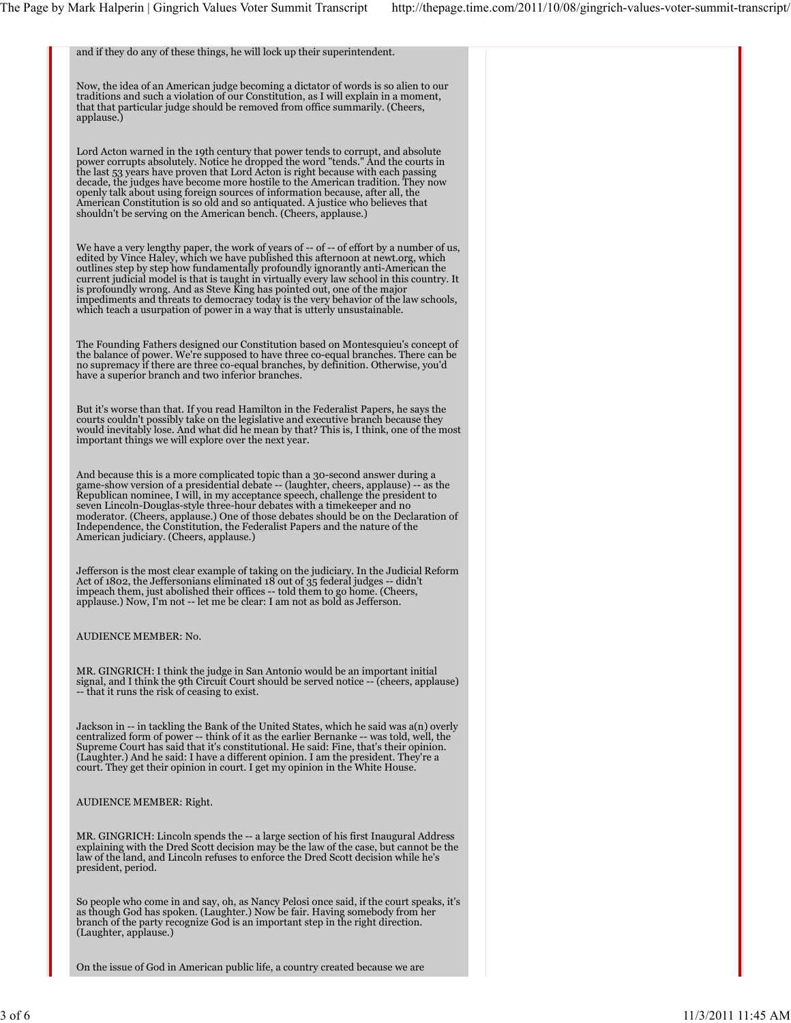| and if they do any of these things, he will lock up their superintendent.                                                                                                                                                                                                                                                                                                                                                                                                                                                                                                                                     |  |
|---------------------------------------------------------------------------------------------------------------------------------------------------------------------------------------------------------------------------------------------------------------------------------------------------------------------------------------------------------------------------------------------------------------------------------------------------------------------------------------------------------------------------------------------------------------------------------------------------------------|--|
| Now, the idea of an American judge becoming a dictator of words is so alien to our<br>traditions and such a violation of our Constitution, as I will explain in a moment,<br>that that particular judge should be removed from office summarily. (Cheers,<br>applause.)                                                                                                                                                                                                                                                                                                                                       |  |
| Lord Acton warned in the 19th century that power tends to corrupt, and absolute<br>power corrupts absolutely. Notice he dropped the word "tends." And the courts in<br>the last 53 years have proven that Lord Acton is right because with each passing<br>decade, the judges have become more hostile to the American tradition. They now<br>openly talk about using foreign sources of information because, after all, the<br>American Constitution is so old and so antiquated. A justice who believes that<br>shouldn't be serving on the American bench. (Cheers, applause.)                             |  |
| We have a very lengthy paper, the work of years of -- of -- of effort by a number of us,<br>edited by Vince Haley, which we have published this afternoon at newt.org, which<br>outlines step by step how fundamentally profoundly ignorantly anti-American the<br>current judicial model is that is taught in virtually every law school in this country. It<br>is profoundly wrong. And as Steve King has pointed out, one of the major<br>impediments and threats to democracy today is the very behavior of the law schools,<br>which teach a usurpation of power in a way that is utterly unsustainable. |  |
| The Founding Fathers designed our Constitution based on Montesquieu's concept of<br>the balance of power. We're supposed to have three co-equal branches. There can be<br>no supremacy if there are three co-equal branches, by definition. Otherwise, you'd<br>have a superior branch and two inferior branches.                                                                                                                                                                                                                                                                                             |  |
| But it's worse than that. If you read Hamilton in the Federalist Papers, he says the<br>courts couldn't possibly take on the legislative and executive branch because they<br>would inevitably lose. And what did he mean by that? This is, I think, one of the most<br>important things we will explore over the next year.                                                                                                                                                                                                                                                                                  |  |
| And because this is a more complicated topic than a 30-second answer during a<br>game-show version of a presidential debate -- (laughter, cheers, applause) -- as the<br>Republican nominee, I will, in my acceptance speech, challenge the president to<br>seven Lincoln-Douglas-style three-hour debates with a timekeeper and no<br>moderator. (Cheers, applause.) One of those debates should be on the Declaration of<br>Independence, the Constitution, the Federalist Papers and the nature of the<br>American judiciary. (Cheers, applause.)                                                          |  |
| Jefferson is the most clear example of taking on the judiciary. In the Judicial Reform<br>Act of 1802, the Jeffersonians eliminated 18 out of 35 federal judges -- didn't<br>impeach them, just abolished their offices -- told them to go home. (Cheers,<br>applause.) Now, I'm not -- let me be clear: I am not as bold as Jefferson.                                                                                                                                                                                                                                                                       |  |
| AUDIENCE MEMBER: No.                                                                                                                                                                                                                                                                                                                                                                                                                                                                                                                                                                                          |  |
| MR. GINGRICH: I think the judge in San Antonio would be an important initial<br>signal, and I think the 9th Circuit Court should be served notice -- (cheers, applause)<br>-- that it runs the risk of ceasing to exist.                                                                                                                                                                                                                                                                                                                                                                                      |  |
| Jackson in -- in tackling the Bank of the United States, which he said was a(n) overly<br>centralized form of power -- think of it as the earlier Bernanke -- was told, well, the<br>Supreme Court has said that it's constitutional. He said: Fine, that's their opinion.<br>(Laughter.) And he said: I have a different opinion. I am the president. They're a<br>court. They get their opinion in court. I get my opinion in the White House.                                                                                                                                                              |  |
| AUDIENCE MEMBER: Right.                                                                                                                                                                                                                                                                                                                                                                                                                                                                                                                                                                                       |  |
| MR. GINGRICH: Lincoln spends the -- a large section of his first Inaugural Address<br>explaining with the Dred Scott decision may be the law of the case, but cannot be the<br>law of the land, and Lincoln refuses to enforce the Dred Scott decision while he's<br>president, period.                                                                                                                                                                                                                                                                                                                       |  |
| So people who come in and say, oh, as Nancy Pelosi once said, if the court speaks, it's<br>as though God has spoken. (Laughter.) Now be fair. Having somebody from her<br>branch of the party recognize God is an important step in the right direction.<br>(Laughter, applause.)                                                                                                                                                                                                                                                                                                                             |  |
| On the issue of God in American public life, a country created because we are                                                                                                                                                                                                                                                                                                                                                                                                                                                                                                                                 |  |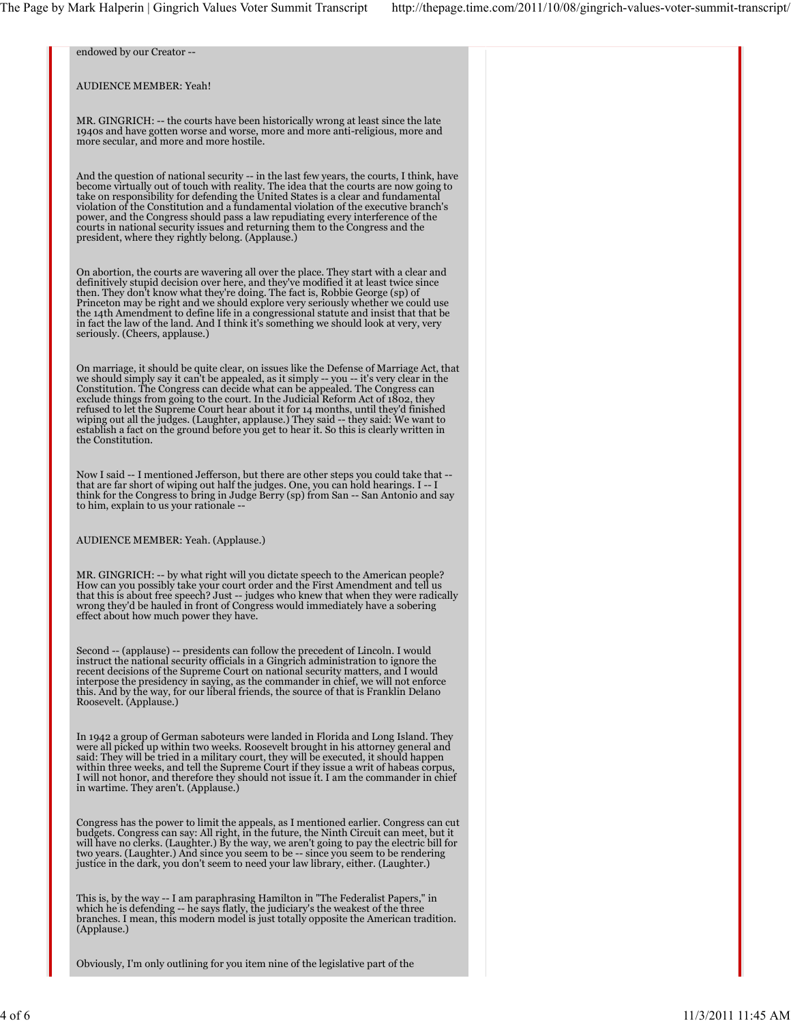| endowed by our Creator --                                                                                                                                                                                                                                                                                                                                                                                                                                                                                                                                                                                                                             |  |
|-------------------------------------------------------------------------------------------------------------------------------------------------------------------------------------------------------------------------------------------------------------------------------------------------------------------------------------------------------------------------------------------------------------------------------------------------------------------------------------------------------------------------------------------------------------------------------------------------------------------------------------------------------|--|
| <b>AUDIENCE MEMBER: Yeah!</b>                                                                                                                                                                                                                                                                                                                                                                                                                                                                                                                                                                                                                         |  |
| MR. GINGRICH: -- the courts have been historically wrong at least since the late<br>1940s and have gotten worse and worse, more and more anti-religious, more and<br>more secular, and more and more hostile.                                                                                                                                                                                                                                                                                                                                                                                                                                         |  |
| And the question of national security -- in the last few years, the courts, I think, have<br>become virtually out of touch with reality. The idea that the courts are now going to<br>take on responsibility for defending the United States is a clear and fundamental<br>violation of the Constitution and a fundamental violation of the executive branch's<br>power, and the Congress should pass a law repudiating every interference of the<br>courts in national security issues and returning them to the Congress and the<br>president, where they rightly belong. (Applause.)                                                               |  |
| On abortion, the courts are wavering all over the place. They start with a clear and<br>definitively stupid decision over here, and they've modified it at least twice since<br>then. They don't know what they're doing. The fact is, Robbie George (sp) of<br>Princeton may be right and we should explore very seriously whether we could use<br>the 14th Amendment to define life in a congressional statute and insist that that be<br>in fact the law of the land. And I think it's something we should look at very, very<br>seriously. (Cheers, applause.)                                                                                    |  |
| On marriage, it should be quite clear, on issues like the Defense of Marriage Act, that<br>we should simply say it can't be appealed, as it simply -- you -- it's very clear in the<br>Constitution. The Congress can decide what can be appealed. The Congress can<br>exclude things from going to the court. In the Judicial Reform Act of 1802, they<br>refused to let the Supreme Court hear about it for 14 months, until they'd finished<br>wiping out all the judges. (Laughter, applause.) They said -- they said: We want to<br>establish a fact on the ground before you get to hear it. So this is clearly written in<br>the Constitution. |  |
| Now I said -- I mentioned Jefferson, but there are other steps you could take that --<br>that are far short of wiping out half the judges. One, you can hold hearings. I -- I<br>think for the Congress to bring in Judge Berry (sp) from San -- San Antonio and say<br>to him, explain to us your rationale --                                                                                                                                                                                                                                                                                                                                       |  |
| AUDIENCE MEMBER: Yeah. (Applause.)                                                                                                                                                                                                                                                                                                                                                                                                                                                                                                                                                                                                                    |  |
| MR. GINGRICH: -- by what right will you dictate speech to the American people?<br>How can you possibly take your court order and the First Amendment and tell us<br>that this is about free speech? Just -- judges who knew that when they were radically<br>wrong they'd be hauled in front of Congress would immediately have a sobering<br>effect about how much power they have.                                                                                                                                                                                                                                                                  |  |
| Second -- (applause) -- presidents can follow the precedent of Lincoln. I would<br>instruct the national security officials in a Gingrich administration to ignore the<br>recent decisions of the Supreme Court on national security matters, and I would<br>interpose the presidency in saying, as the commander in chief, we will not enforce<br>this. And by the way, for our liberal friends, the source of that is Franklin Delano<br>Roosevelt. (Applause.)                                                                                                                                                                                     |  |
| In 1942 a group of German saboteurs were landed in Florida and Long Island. They<br>were all picked up within two weeks. Roosevelt brought in his attorney general and<br>said: They will be tried in a military court, they will be executed, it should happen<br>within three weeks, and tell the Supreme Court if they issue a writ of habeas corpus,<br>I will not honor, and therefore they should not issue it. I am the commander in chief<br>in wartime. They aren't. (Applause.)                                                                                                                                                             |  |
| Congress has the power to limit the appeals, as I mentioned earlier. Congress can cut<br>budgets. Congress can say: All right, in the future, the Ninth Circuit can meet, but it<br>will have no clerks. (Laughter.) By the way, we aren't going to pay the electric bill for<br>two years. (Laughter.) And since you seem to be -- since you seem to be rendering<br>justice in the dark, you don't seem to need your law library, either. (Laughter.)                                                                                                                                                                                               |  |
| This is, by the way -- I am paraphrasing Hamilton in "The Federalist Papers," in<br>which he is defending -- he says flatly, the judiciary's the weakest of the three<br>branches. I mean, this modern model is just totally opposite the American tradition.<br>(Applause.)                                                                                                                                                                                                                                                                                                                                                                          |  |
| Obviously, I'm only outlining for you item nine of the legislative part of the                                                                                                                                                                                                                                                                                                                                                                                                                                                                                                                                                                        |  |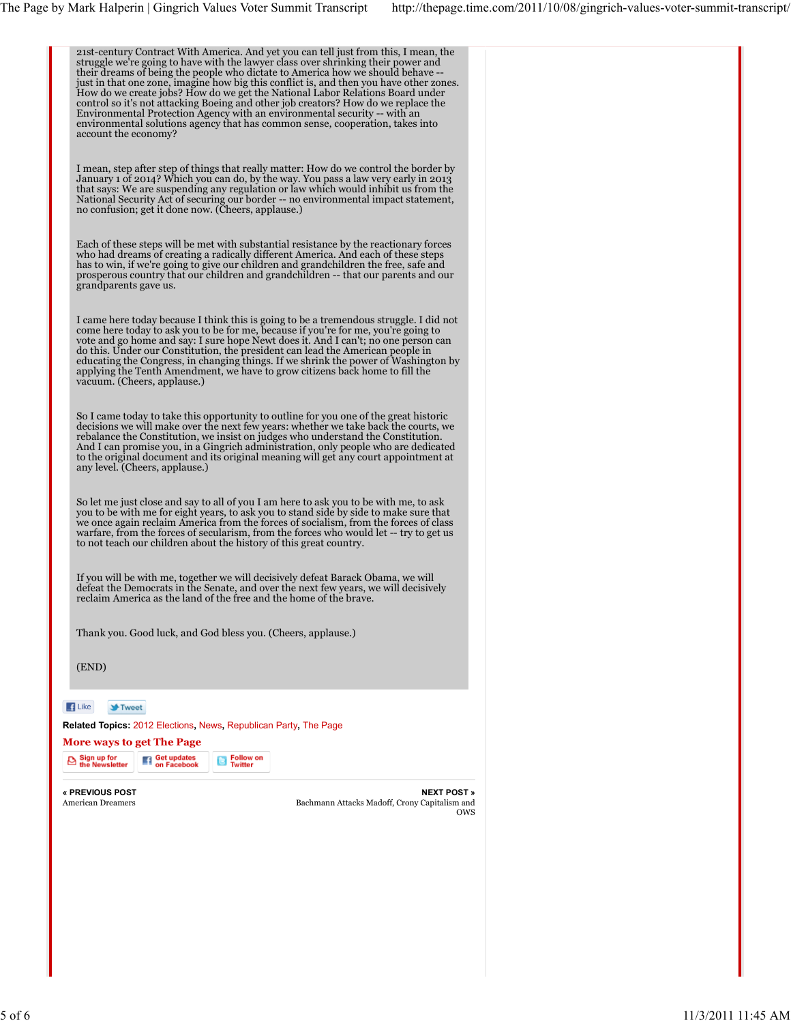